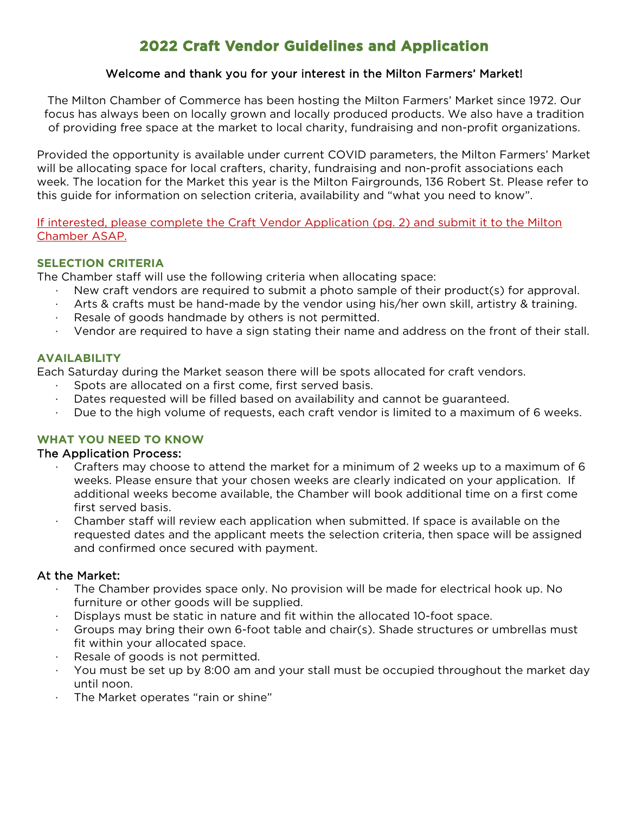## **2022 Craft Vendor Guidelines and Application**

#### Welcome and thank you for your interest in the Milton Farmers' Market!

The Milton Chamber of Commerce has been hosting the Milton Farmers' Market since 1972. Our focus has always been on locally grown and locally produced products. We also have a tradition of providing free space at the market to local charity, fundraising and non-profit organizations.

Provided the opportunity is available under current COVID parameters, the Milton Farmers' Market will be allocating space for local crafters, charity, fundraising and non-profit associations each week. The location for the Market this year is the Milton Fairgrounds, 136 Robert St. Please refer to this guide for information on selection criteria, availability and "what you need to know".

If interested, please complete the Craft Vendor Application (pg. 2) and submit it to the Milton Chamber ASAP.

#### **SELECTION CRITERIA**

The Chamber staff will use the following criteria when allocating space:

- · New craft vendors are required to submit a photo sample of their product(s) for approval.
- Arts & crafts must be hand-made by the vendor using his/her own skill, artistry & training.
- Resale of goods handmade by others is not permitted.
- · Vendor are required to have a sign stating their name and address on the front of their stall.

#### **AVAILABILITY**

Each Saturday during the Market season there will be spots allocated for craft vendors.

- Spots are allocated on a first come, first served basis.
- Dates requested will be filled based on availability and cannot be guaranteed.
- Due to the high volume of requests, each craft vendor is limited to a maximum of 6 weeks.

#### **WHAT YOU NEED TO KNOW**

#### The Application Process:

- · Crafters may choose to attend the market for a minimum of 2 weeks up to a maximum of 6 weeks. Please ensure that your chosen weeks are clearly indicated on your application. If additional weeks become available, the Chamber will book additional time on a first come first served basis.
- · Chamber staff will review each application when submitted. If space is available on the requested dates and the applicant meets the selection criteria, then space will be assigned and confirmed once secured with payment.

#### At the Market:

- The Chamber provides space only. No provision will be made for electrical hook up. No furniture or other goods will be supplied.
- Displays must be static in nature and fit within the allocated 10-foot space.
- Groups may bring their own 6-foot table and chair(s). Shade structures or umbrellas must fit within your allocated space.
- Resale of goods is not permitted.
- · You must be set up by 8:00 am and your stall must be occupied throughout the market day until noon.
- The Market operates "rain or shine"